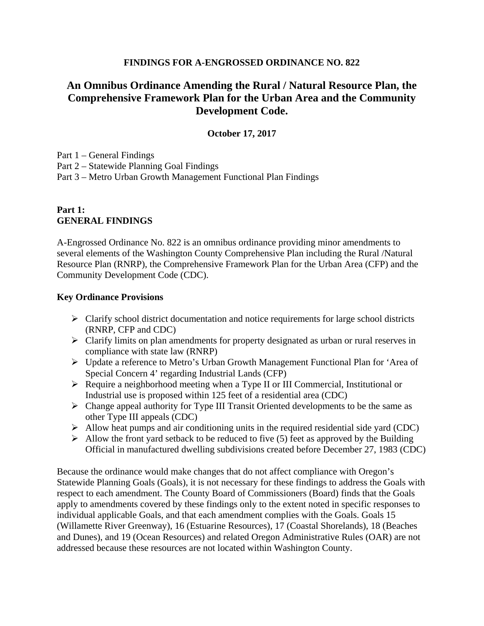#### **FINDINGS FOR A-ENGROSSED ORDINANCE NO. 822**

# **An Omnibus Ordinance Amending the Rural / Natural Resource Plan, the Comprehensive Framework Plan for the Urban Area and the Community Development Code.**

#### **October 17, 2017**

Part 1 – General Findings

Part 2 – Statewide Planning Goal Findings

Part 3 – Metro Urban Growth Management Functional Plan Findings

### **Part 1: GENERAL FINDINGS**

A-Engrossed Ordinance No. 822 is an omnibus ordinance providing minor amendments to several elements of the Washington County Comprehensive Plan including the Rural /Natural Resource Plan (RNRP), the Comprehensive Framework Plan for the Urban Area (CFP) and the Community Development Code (CDC).

#### **Key Ordinance Provisions**

- $\triangleright$  Clarify school district documentation and notice requirements for large school districts (RNRP, CFP and CDC)
- $\triangleright$  Clarify limits on plan amendments for property designated as urban or rural reserves in compliance with state law (RNRP)
- Update a reference to Metro's Urban Growth Management Functional Plan for 'Area of Special Concern 4' regarding Industrial Lands (CFP)
- $\triangleright$  Require a neighborhood meeting when a Type II or III Commercial, Institutional or Industrial use is proposed within 125 feet of a residential area (CDC)
- $\triangleright$  Change appeal authority for Type III Transit Oriented developments to be the same as other Type III appeals (CDC)
- $\triangleright$  Allow heat pumps and air conditioning units in the required residential side yard (CDC)
- $\triangleright$  Allow the front yard setback to be reduced to five (5) feet as approved by the Building Official in manufactured dwelling subdivisions created before December 27, 1983 (CDC)

Because the ordinance would make changes that do not affect compliance with Oregon's Statewide Planning Goals (Goals), it is not necessary for these findings to address the Goals with respect to each amendment. The County Board of Commissioners (Board) finds that the Goals apply to amendments covered by these findings only to the extent noted in specific responses to individual applicable Goals, and that each amendment complies with the Goals. Goals 15 (Willamette River Greenway), 16 (Estuarine Resources), 17 (Coastal Shorelands), 18 (Beaches and Dunes), and 19 (Ocean Resources) and related Oregon Administrative Rules (OAR) are not addressed because these resources are not located within Washington County.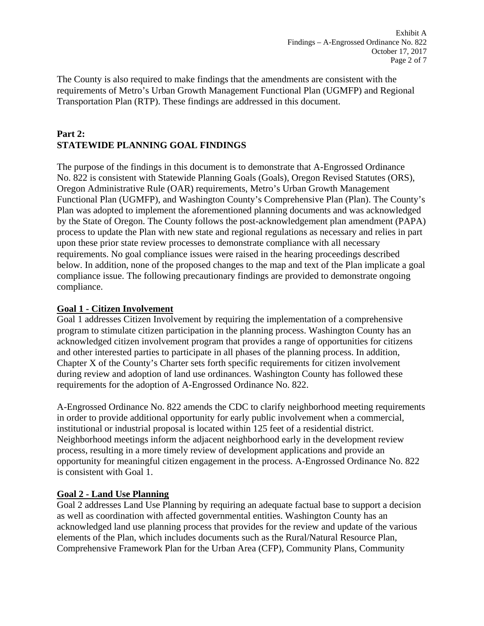The County is also required to make findings that the amendments are consistent with the requirements of Metro's Urban Growth Management Functional Plan (UGMFP) and Regional Transportation Plan (RTP). These findings are addressed in this document.

## **Part 2: STATEWIDE PLANNING GOAL FINDINGS**

The purpose of the findings in this document is to demonstrate that A-Engrossed Ordinance No. 822 is consistent with Statewide Planning Goals (Goals), Oregon Revised Statutes (ORS), Oregon Administrative Rule (OAR) requirements, Metro's Urban Growth Management Functional Plan (UGMFP), and Washington County's Comprehensive Plan (Plan). The County's Plan was adopted to implement the aforementioned planning documents and was acknowledged by the State of Oregon. The County follows the post-acknowledgement plan amendment (PAPA) process to update the Plan with new state and regional regulations as necessary and relies in part upon these prior state review processes to demonstrate compliance with all necessary requirements. No goal compliance issues were raised in the hearing proceedings described below. In addition, none of the proposed changes to the map and text of the Plan implicate a goal compliance issue. The following precautionary findings are provided to demonstrate ongoing compliance.

## **Goal 1 - Citizen Involvement**

Goal 1 addresses Citizen Involvement by requiring the implementation of a comprehensive program to stimulate citizen participation in the planning process. Washington County has an acknowledged citizen involvement program that provides a range of opportunities for citizens and other interested parties to participate in all phases of the planning process. In addition, Chapter X of the County's Charter sets forth specific requirements for citizen involvement during review and adoption of land use ordinances. Washington County has followed these requirements for the adoption of A-Engrossed Ordinance No. 822.

A-Engrossed Ordinance No. 822 amends the CDC to clarify neighborhood meeting requirements in order to provide additional opportunity for early public involvement when a commercial, institutional or industrial proposal is located within 125 feet of a residential district. Neighborhood meetings inform the adjacent neighborhood early in the development review process, resulting in a more timely review of development applications and provide an opportunity for meaningful citizen engagement in the process. A-Engrossed Ordinance No. 822 is consistent with Goal 1.

### **Goal 2 - Land Use Planning**

Goal 2 addresses Land Use Planning by requiring an adequate factual base to support a decision as well as coordination with affected governmental entities. Washington County has an acknowledged land use planning process that provides for the review and update of the various elements of the Plan, which includes documents such as the Rural/Natural Resource Plan, Comprehensive Framework Plan for the Urban Area (CFP), Community Plans, Community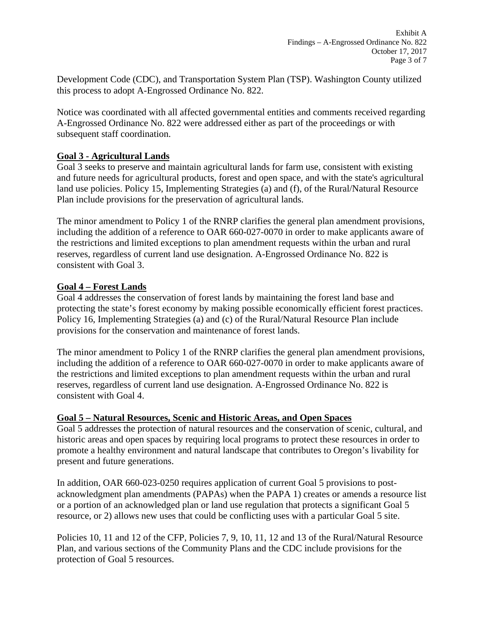Development Code (CDC), and Transportation System Plan (TSP). Washington County utilized this process to adopt A-Engrossed Ordinance No. 822.

Notice was coordinated with all affected governmental entities and comments received regarding A-Engrossed Ordinance No. 822 were addressed either as part of the proceedings or with subsequent staff coordination.

### **Goal 3 - Agricultural Lands**

Goal 3 seeks to preserve and maintain agricultural lands for farm use, consistent with existing and future needs for agricultural products, forest and open space, and with the state's agricultural land use policies. Policy 15, Implementing Strategies (a) and (f), of the Rural/Natural Resource Plan include provisions for the preservation of agricultural lands.

The minor amendment to Policy 1 of the RNRP clarifies the general plan amendment provisions, including the addition of a reference to OAR 660-027-0070 in order to make applicants aware of the restrictions and limited exceptions to plan amendment requests within the urban and rural reserves, regardless of current land use designation. A-Engrossed Ordinance No. 822 is consistent with Goal 3.

#### **Goal 4 – Forest Lands**

Goal 4 addresses the conservation of forest lands by maintaining the forest land base and protecting the state's forest economy by making possible economically efficient forest practices. Policy 16, Implementing Strategies (a) and (c) of the Rural/Natural Resource Plan include provisions for the conservation and maintenance of forest lands.

The minor amendment to Policy 1 of the RNRP clarifies the general plan amendment provisions, including the addition of a reference to OAR 660-027-0070 in order to make applicants aware of the restrictions and limited exceptions to plan amendment requests within the urban and rural reserves, regardless of current land use designation. A-Engrossed Ordinance No. 822 is consistent with Goal 4.

#### **Goal 5 – Natural Resources, Scenic and Historic Areas, and Open Spaces**

Goal 5 addresses the protection of natural resources and the conservation of scenic, cultural, and historic areas and open spaces by requiring local programs to protect these resources in order to promote a healthy environment and natural landscape that contributes to Oregon's livability for present and future generations.

In addition, OAR 660-023-0250 requires application of current Goal 5 provisions to postacknowledgment plan amendments (PAPAs) when the PAPA 1) creates or amends a resource list or a portion of an acknowledged plan or land use regulation that protects a significant Goal 5 resource, or 2) allows new uses that could be conflicting uses with a particular Goal 5 site.

Policies 10, 11 and 12 of the CFP, Policies 7, 9, 10, 11, 12 and 13 of the Rural/Natural Resource Plan, and various sections of the Community Plans and the CDC include provisions for the protection of Goal 5 resources.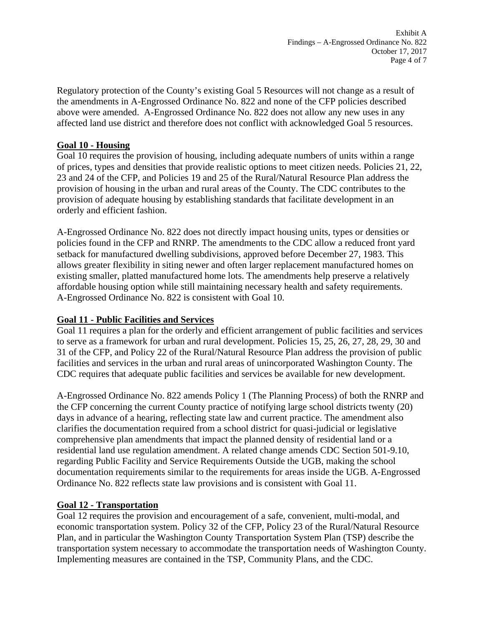Regulatory protection of the County's existing Goal 5 Resources will not change as a result of the amendments in A-Engrossed Ordinance No. 822 and none of the CFP policies described above were amended. A-Engrossed Ordinance No. 822 does not allow any new uses in any affected land use district and therefore does not conflict with acknowledged Goal 5 resources.

#### **Goal 10 - Housing**

Goal 10 requires the provision of housing, including adequate numbers of units within a range of prices, types and densities that provide realistic options to meet citizen needs. Policies 21, 22, 23 and 24 of the CFP, and Policies 19 and 25 of the Rural/Natural Resource Plan address the provision of housing in the urban and rural areas of the County. The CDC contributes to the provision of adequate housing by establishing standards that facilitate development in an orderly and efficient fashion.

A-Engrossed Ordinance No. 822 does not directly impact housing units, types or densities or policies found in the CFP and RNRP. The amendments to the CDC allow a reduced front yard setback for manufactured dwelling subdivisions, approved before December 27, 1983. This allows greater flexibility in siting newer and often larger replacement manufactured homes on existing smaller, platted manufactured home lots. The amendments help preserve a relatively affordable housing option while still maintaining necessary health and safety requirements. A-Engrossed Ordinance No. 822 is consistent with Goal 10.

### **Goal 11 - Public Facilities and Services**

Goal 11 requires a plan for the orderly and efficient arrangement of public facilities and services to serve as a framework for urban and rural development. Policies 15, 25, 26, 27, 28, 29, 30 and 31 of the CFP, and Policy 22 of the Rural/Natural Resource Plan address the provision of public facilities and services in the urban and rural areas of unincorporated Washington County. The CDC requires that adequate public facilities and services be available for new development.

A-Engrossed Ordinance No. 822 amends Policy 1 (The Planning Process) of both the RNRP and the CFP concerning the current County practice of notifying large school districts twenty (20) days in advance of a hearing, reflecting state law and current practice. The amendment also clarifies the documentation required from a school district for quasi-judicial or legislative comprehensive plan amendments that impact the planned density of residential land or a residential land use regulation amendment. A related change amends CDC Section 501-9.10, regarding Public Facility and Service Requirements Outside the UGB, making the school documentation requirements similar to the requirements for areas inside the UGB. A-Engrossed Ordinance No. 822 reflects state law provisions and is consistent with Goal 11.

### **Goal 12 - Transportation**

Goal 12 requires the provision and encouragement of a safe, convenient, multi-modal, and economic transportation system. Policy 32 of the CFP, Policy 23 of the Rural/Natural Resource Plan, and in particular the Washington County Transportation System Plan (TSP) describe the transportation system necessary to accommodate the transportation needs of Washington County. Implementing measures are contained in the TSP, Community Plans, and the CDC.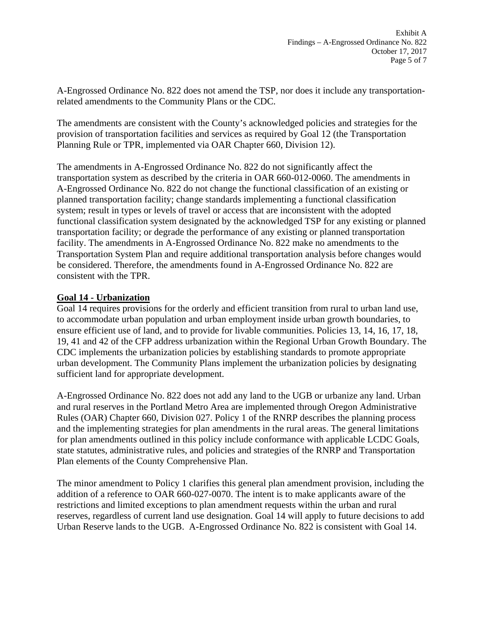A-Engrossed Ordinance No. 822 does not amend the TSP, nor does it include any transportationrelated amendments to the Community Plans or the CDC.

The amendments are consistent with the County's acknowledged policies and strategies for the provision of transportation facilities and services as required by Goal 12 (the Transportation Planning Rule or TPR, implemented via OAR Chapter 660, Division 12).

The amendments in A-Engrossed Ordinance No. 822 do not significantly affect the transportation system as described by the criteria in OAR 660-012-0060. The amendments in A-Engrossed Ordinance No. 822 do not change the functional classification of an existing or planned transportation facility; change standards implementing a functional classification system; result in types or levels of travel or access that are inconsistent with the adopted functional classification system designated by the acknowledged TSP for any existing or planned transportation facility; or degrade the performance of any existing or planned transportation facility. The amendments in A-Engrossed Ordinance No. 822 make no amendments to the Transportation System Plan and require additional transportation analysis before changes would be considered. Therefore, the amendments found in A-Engrossed Ordinance No. 822 are consistent with the TPR.

### **Goal 14 - Urbanization**

Goal 14 requires provisions for the orderly and efficient transition from rural to urban land use, to accommodate urban population and urban employment inside urban growth boundaries, to ensure efficient use of land, and to provide for livable communities. Policies 13, 14, 16, 17, 18, 19, 41 and 42 of the CFP address urbanization within the Regional Urban Growth Boundary. The CDC implements the urbanization policies by establishing standards to promote appropriate urban development. The Community Plans implement the urbanization policies by designating sufficient land for appropriate development.

A-Engrossed Ordinance No. 822 does not add any land to the UGB or urbanize any land. Urban and rural reserves in the Portland Metro Area are implemented through Oregon Administrative Rules (OAR) Chapter 660, Division 027. Policy 1 of the RNRP describes the planning process and the implementing strategies for plan amendments in the rural areas. The general limitations for plan amendments outlined in this policy include conformance with applicable LCDC Goals, state statutes, administrative rules, and policies and strategies of the RNRP and Transportation Plan elements of the County Comprehensive Plan.

The minor amendment to Policy 1 clarifies this general plan amendment provision, including the addition of a reference to OAR 660-027-0070. The intent is to make applicants aware of the restrictions and limited exceptions to plan amendment requests within the urban and rural reserves, regardless of current land use designation. Goal 14 will apply to future decisions to add Urban Reserve lands to the UGB. A-Engrossed Ordinance No. 822 is consistent with Goal 14.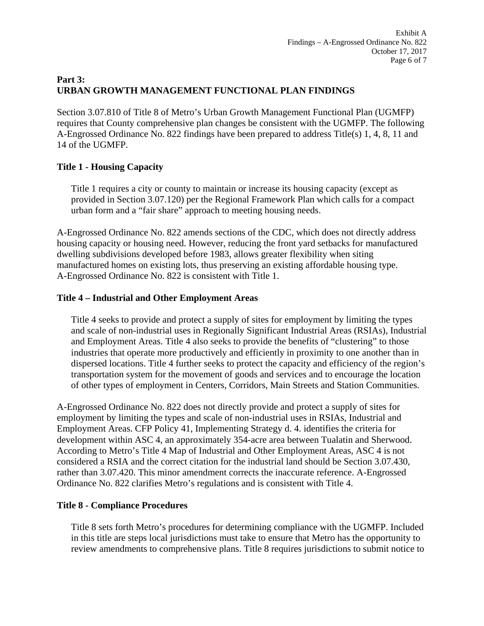## **Part 3: URBAN GROWTH MANAGEMENT FUNCTIONAL PLAN FINDINGS**

Section 3.07.810 of Title 8 of Metro's Urban Growth Management Functional Plan (UGMFP) requires that County comprehensive plan changes be consistent with the UGMFP. The following A-Engrossed Ordinance No. 822 findings have been prepared to address Title(s) 1, 4, 8, 11 and 14 of the UGMFP.

## **Title 1 - Housing Capacity**

Title 1 requires a city or county to maintain or increase its housing capacity (except as provided in Section 3.07.120) per the Regional Framework Plan which calls for a compact urban form and a "fair share" approach to meeting housing needs.

A-Engrossed Ordinance No. 822 amends sections of the CDC, which does not directly address housing capacity or housing need. However, reducing the front yard setbacks for manufactured dwelling subdivisions developed before 1983, allows greater flexibility when siting manufactured homes on existing lots, thus preserving an existing affordable housing type. A-Engrossed Ordinance No. 822 is consistent with Title 1.

## **Title 4 – Industrial and Other Employment Areas**

Title 4 seeks to provide and protect a supply of sites for employment by limiting the types and scale of non-industrial uses in Regionally Significant Industrial Areas (RSIAs), Industrial and Employment Areas. Title 4 also seeks to provide the benefits of "clustering" to those industries that operate more productively and efficiently in proximity to one another than in dispersed locations. Title 4 further seeks to protect the capacity and efficiency of the region's transportation system for the movement of goods and services and to encourage the location of other types of employment in Centers, Corridors, Main Streets and Station Communities.

A-Engrossed Ordinance No. 822 does not directly provide and protect a supply of sites for employment by limiting the types and scale of non-industrial uses in RSIAs, Industrial and Employment Areas. CFP Policy 41, Implementing Strategy d. 4. identifies the criteria for development within ASC 4, an approximately 354-acre area between Tualatin and Sherwood. According to Metro's Title 4 Map of Industrial and Other Employment Areas, ASC 4 is not considered a RSIA and the correct citation for the industrial land should be Section 3.07.430, rather than 3.07.420. This minor amendment corrects the inaccurate reference. A-Engrossed Ordinance No. 822 clarifies Metro's regulations and is consistent with Title 4.

### **Title 8 - Compliance Procedures**

Title 8 sets forth Metro's procedures for determining compliance with the UGMFP. Included in this title are steps local jurisdictions must take to ensure that Metro has the opportunity to review amendments to comprehensive plans. Title 8 requires jurisdictions to submit notice to